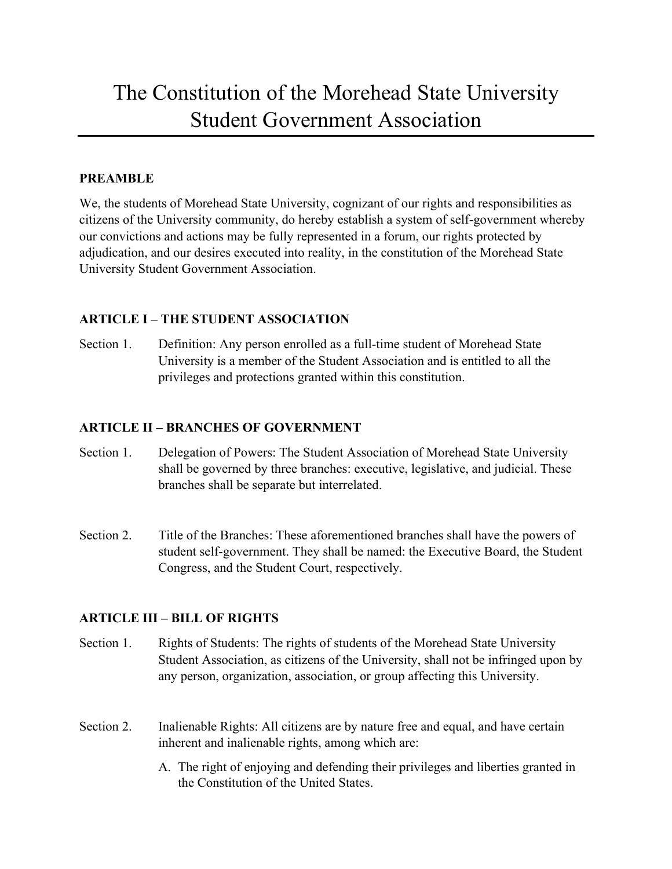# The Constitution of the Morehead State University Student Government Association

## **PREAMBLE**

We, the students of Morehead State University, cognizant of our rights and responsibilities as citizens of the University community, do hereby establish a system of self-government whereby our convictions and actions may be fully represented in a forum, our rights protected by adjudication, and our desires executed into reality, in the constitution of the Morehead State University Student Government Association.

# **ARTICLE I – THE STUDENT ASSOCIATION**

Section 1. Definition: Any person enrolled as a full-time student of Morehead State University is a member of the Student Association and is entitled to all the privileges and protections granted within this constitution.

## **ARTICLE II – BRANCHES OF GOVERNMENT**

- Section 1. Delegation of Powers: The Student Association of Morehead State University shall be governed by three branches: executive, legislative, and judicial. These branches shall be separate but interrelated.
- Section 2. Title of the Branches: These aforementioned branches shall have the powers of student self-government. They shall be named: the Executive Board, the Student Congress, and the Student Court, respectively.

# **ARTICLE III – BILL OF RIGHTS**

- Section 1. Rights of Students: The rights of students of the Morehead State University Student Association, as citizens of the University, shall not be infringed upon by any person, organization, association, or group affecting this University.
- Section 2. Inalienable Rights: All citizens are by nature free and equal, and have certain inherent and inalienable rights, among which are:
	- A. The right of enjoying and defending their privileges and liberties granted in the Constitution of the United States.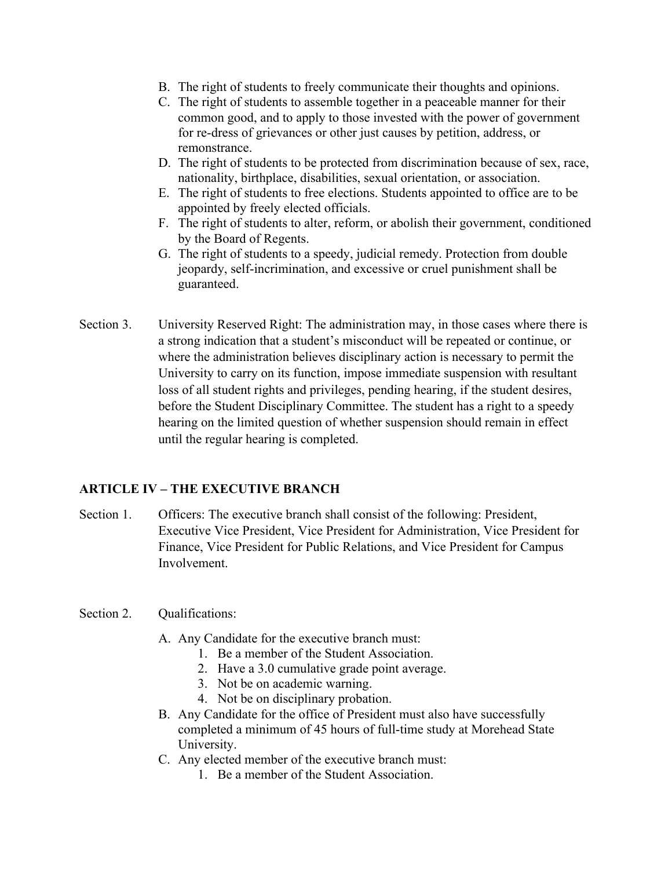- B. The right of students to freely communicate their thoughts and opinions.
- C. The right of students to assemble together in a peaceable manner for their common good, and to apply to those invested with the power of government for re-dress of grievances or other just causes by petition, address, or remonstrance.
- D. The right of students to be protected from discrimination because of sex, race, nationality, birthplace, disabilities, sexual orientation, or association.
- E. The right of students to free elections. Students appointed to office are to be appointed by freely elected officials.
- F. The right of students to alter, reform, or abolish their government, conditioned by the Board of Regents.
- G. The right of students to a speedy, judicial remedy. Protection from double jeopardy, self-incrimination, and excessive or cruel punishment shall be guaranteed.
- Section 3. University Reserved Right: The administration may, in those cases where there is a strong indication that a student's misconduct will be repeated or continue, or where the administration believes disciplinary action is necessary to permit the University to carry on its function, impose immediate suspension with resultant loss of all student rights and privileges, pending hearing, if the student desires, before the Student Disciplinary Committee. The student has a right to a speedy hearing on the limited question of whether suspension should remain in effect until the regular hearing is completed.

# **ARTICLE IV – THE EXECUTIVE BRANCH**

Section 1. Officers: The executive branch shall consist of the following: President, Executive Vice President, Vice President for Administration, Vice President for Finance, Vice President for Public Relations, and Vice President for Campus Involvement.

### Section 2. Qualifications:

- A. Any Candidate for the executive branch must:
	- 1. Be a member of the Student Association.
	- 2. Have a 3.0 cumulative grade point average.
	- 3. Not be on academic warning.
	- 4. Not be on disciplinary probation.
- B. Any Candidate for the office of President must also have successfully completed a minimum of 45 hours of full-time study at Morehead State University.
- C. Any elected member of the executive branch must:
	- 1. Be a member of the Student Association.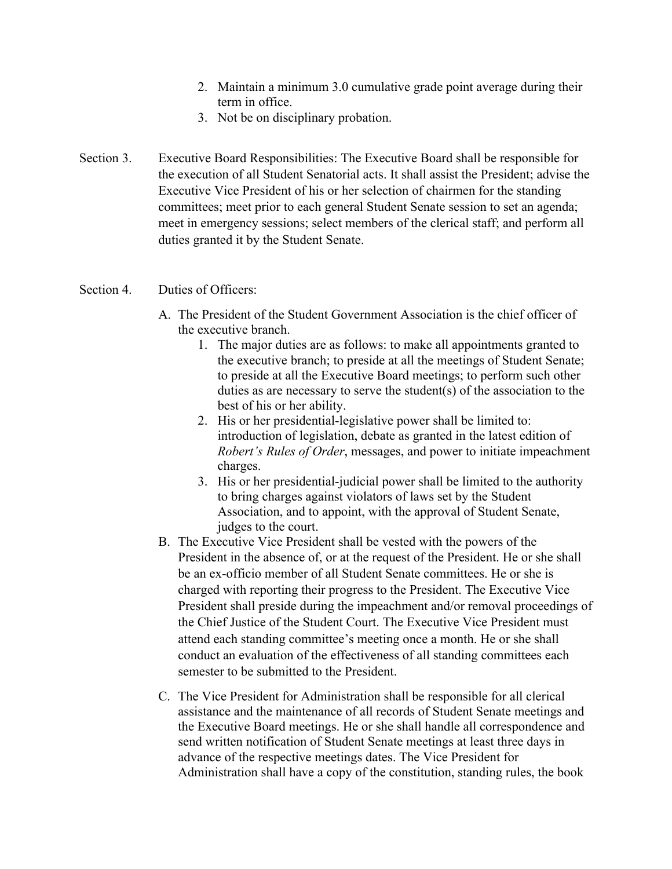- 2. Maintain a minimum 3.0 cumulative grade point average during their term in office.
- 3. Not be on disciplinary probation.
- Section 3. Executive Board Responsibilities: The Executive Board shall be responsible for the execution of all Student Senatorial acts. It shall assist the President; advise the Executive Vice President of his or her selection of chairmen for the standing committees; meet prior to each general Student Senate session to set an agenda; meet in emergency sessions; select members of the clerical staff; and perform all duties granted it by the Student Senate.

#### Section 4. Duties of Officers:

- A. The President of the Student Government Association is the chief officer of the executive branch.
	- 1. The major duties are as follows: to make all appointments granted to the executive branch; to preside at all the meetings of Student Senate; to preside at all the Executive Board meetings; to perform such other duties as are necessary to serve the student(s) of the association to the best of his or her ability.
	- 2. His or her presidential-legislative power shall be limited to: introduction of legislation, debate as granted in the latest edition of *Robert's Rules of Order*, messages, and power to initiate impeachment charges.
	- 3. His or her presidential-judicial power shall be limited to the authority to bring charges against violators of laws set by the Student Association, and to appoint, with the approval of Student Senate, judges to the court.
- B. The Executive Vice President shall be vested with the powers of the President in the absence of, or at the request of the President. He or she shall be an ex-officio member of all Student Senate committees. He or she is charged with reporting their progress to the President. The Executive Vice President shall preside during the impeachment and/or removal proceedings of the Chief Justice of the Student Court. The Executive Vice President must attend each standing committee's meeting once a month. He or she shall conduct an evaluation of the effectiveness of all standing committees each semester to be submitted to the President.
- C. The Vice President for Administration shall be responsible for all clerical assistance and the maintenance of all records of Student Senate meetings and the Executive Board meetings. He or she shall handle all correspondence and send written notification of Student Senate meetings at least three days in advance of the respective meetings dates. The Vice President for Administration shall have a copy of the constitution, standing rules, the book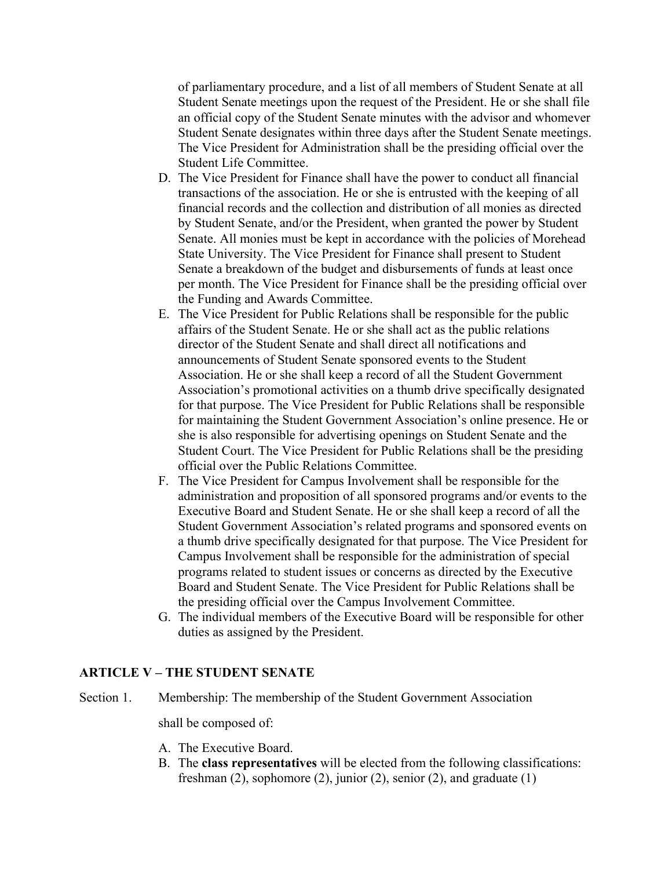of parliamentary procedure, and a list of all members of Student Senate at all Student Senate meetings upon the request of the President. He or she shall file an official copy of the Student Senate minutes with the advisor and whomever Student Senate designates within three days after the Student Senate meetings. The Vice President for Administration shall be the presiding official over the Student Life Committee.

- D. The Vice President for Finance shall have the power to conduct all financial transactions of the association. He or she is entrusted with the keeping of all financial records and the collection and distribution of all monies as directed by Student Senate, and/or the President, when granted the power by Student Senate. All monies must be kept in accordance with the policies of Morehead State University. The Vice President for Finance shall present to Student Senate a breakdown of the budget and disbursements of funds at least once per month. The Vice President for Finance shall be the presiding official over the Funding and Awards Committee.
- E. The Vice President for Public Relations shall be responsible for the public affairs of the Student Senate. He or she shall act as the public relations director of the Student Senate and shall direct all notifications and announcements of Student Senate sponsored events to the Student Association. He or she shall keep a record of all the Student Government Association's promotional activities on a thumb drive specifically designated for that purpose. The Vice President for Public Relations shall be responsible for maintaining the Student Government Association's online presence. He or she is also responsible for advertising openings on Student Senate and the Student Court. The Vice President for Public Relations shall be the presiding official over the Public Relations Committee.
- F. The Vice President for Campus Involvement shall be responsible for the administration and proposition of all sponsored programs and/or events to the Executive Board and Student Senate. He or she shall keep a record of all the Student Government Association's related programs and sponsored events on a thumb drive specifically designated for that purpose. The Vice President for Campus Involvement shall be responsible for the administration of special programs related to student issues or concerns as directed by the Executive Board and Student Senate. The Vice President for Public Relations shall be the presiding official over the Campus Involvement Committee.
- G. The individual members of the Executive Board will be responsible for other duties as assigned by the President.

#### **ARTICLE V – THE STUDENT SENATE**

Section 1. Membership: The membership of the Student Government Association

shall be composed of:

- A. The Executive Board.
- B. The **class representatives** will be elected from the following classifications: freshman (2), sophomore (2), junior (2), senior (2), and graduate (1)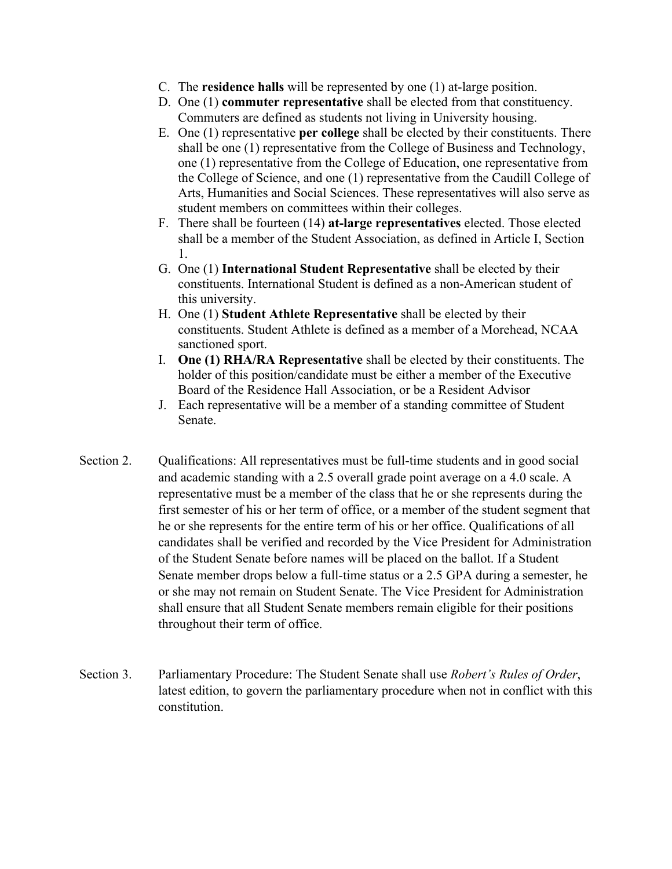- C. The **residence halls** will be represented by one (1) at-large position.
- D. One (1) **commuter representative** shall be elected from that constituency. Commuters are defined as students not living in University housing.
- E. One (1) representative **per college** shall be elected by their constituents. There shall be one (1) representative from the College of Business and Technology, one (1) representative from the College of Education, one representative from the College of Science, and one (1) representative from the Caudill College of Arts, Humanities and Social Sciences. These representatives will also serve as student members on committees within their colleges.
- F. There shall be fourteen (14) **at-large representatives** elected. Those elected shall be a member of the Student Association, as defined in Article I, Section 1.
- G. One (1) **International Student Representative** shall be elected by their constituents. International Student is defined as a non-American student of this university.
- H. One (1) **Student Athlete Representative** shall be elected by their constituents. Student Athlete is defined as a member of a Morehead, NCAA sanctioned sport.
- I. **One (1) RHA/RA Representative** shall be elected by their constituents. The holder of this position/candidate must be either a member of the Executive Board of the Residence Hall Association, or be a Resident Advisor
- J. Each representative will be a member of a standing committee of Student Senate.
- Section 2. Qualifications: All representatives must be full-time students and in good social and academic standing with a 2.5 overall grade point average on a 4.0 scale. A representative must be a member of the class that he or she represents during the first semester of his or her term of office, or a member of the student segment that he or she represents for the entire term of his or her office. Qualifications of all candidates shall be verified and recorded by the Vice President for Administration of the Student Senate before names will be placed on the ballot. If a Student Senate member drops below a full-time status or a 2.5 GPA during a semester, he or she may not remain on Student Senate. The Vice President for Administration shall ensure that all Student Senate members remain eligible for their positions throughout their term of office.
- Section 3. Parliamentary Procedure: The Student Senate shall use *Robert's Rules of Order*, latest edition, to govern the parliamentary procedure when not in conflict with this constitution.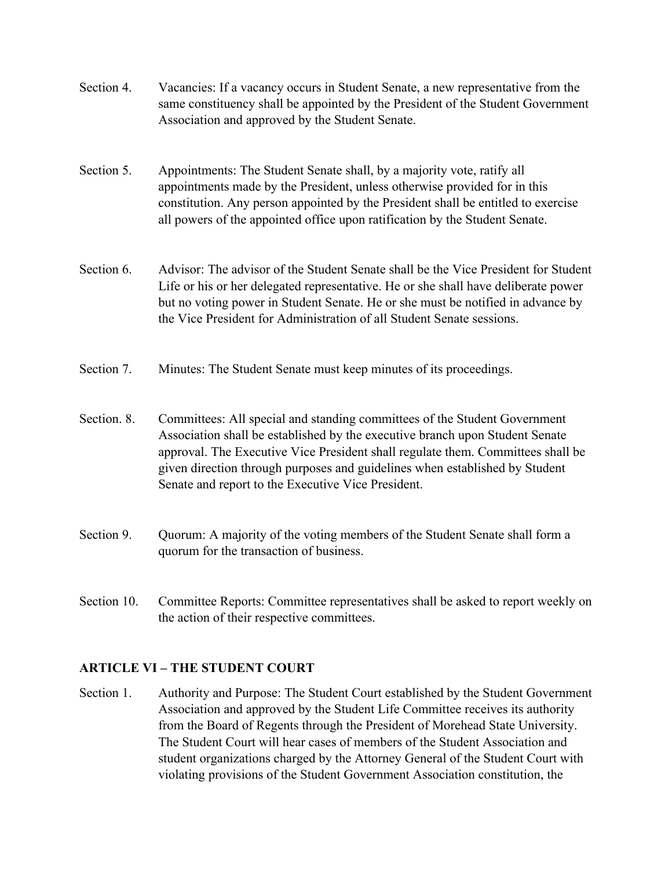- Section 4. Vacancies: If a vacancy occurs in Student Senate, a new representative from the same constituency shall be appointed by the President of the Student Government Association and approved by the Student Senate.
- Section 5. Appointments: The Student Senate shall, by a majority vote, ratify all appointments made by the President, unless otherwise provided for in this constitution. Any person appointed by the President shall be entitled to exercise all powers of the appointed office upon ratification by the Student Senate.
- Section 6. Advisor: The advisor of the Student Senate shall be the Vice President for Student Life or his or her delegated representative. He or she shall have deliberate power but no voting power in Student Senate. He or she must be notified in advance by the Vice President for Administration of all Student Senate sessions.
- Section 7. Minutes: The Student Senate must keep minutes of its proceedings.
- Section. 8. Committees: All special and standing committees of the Student Government Association shall be established by the executive branch upon Student Senate approval. The Executive Vice President shall regulate them. Committees shall be given direction through purposes and guidelines when established by Student Senate and report to the Executive Vice President.
- Section 9. Quorum: A majority of the voting members of the Student Senate shall form a quorum for the transaction of business.
- Section 10. Committee Reports: Committee representatives shall be asked to report weekly on the action of their respective committees.

# **ARTICLE VI – THE STUDENT COURT**

Section 1. Authority and Purpose: The Student Court established by the Student Government Association and approved by the Student Life Committee receives its authority from the Board of Regents through the President of Morehead State University. The Student Court will hear cases of members of the Student Association and student organizations charged by the Attorney General of the Student Court with violating provisions of the Student Government Association constitution, the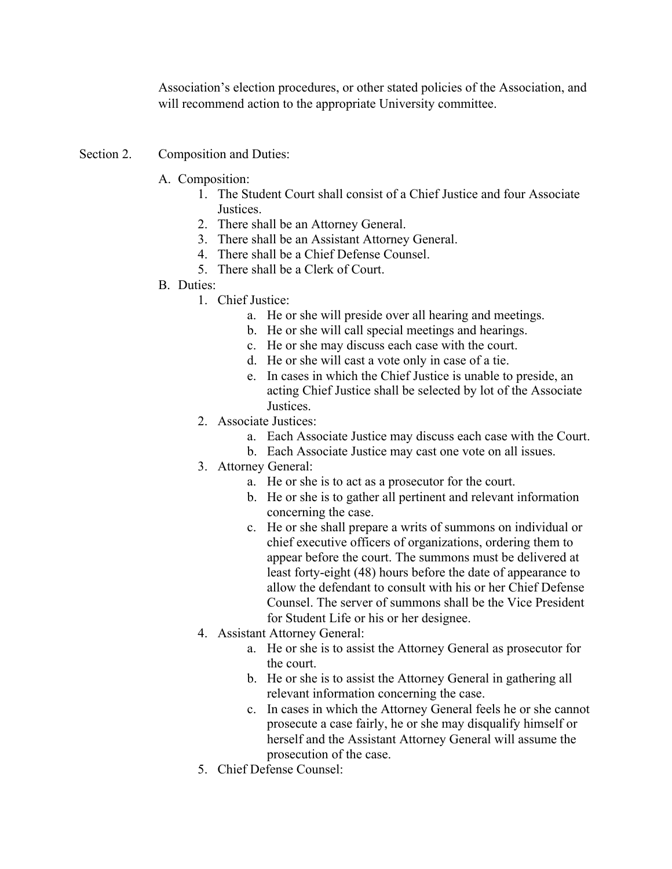Association's election procedures, or other stated policies of the Association, and will recommend action to the appropriate University committee.

- Section 2. Composition and Duties:
	- A. Composition:
		- 1. The Student Court shall consist of a Chief Justice and four Associate Justices.
		- 2. There shall be an Attorney General.
		- 3. There shall be an Assistant Attorney General.
		- 4. There shall be a Chief Defense Counsel.
		- 5. There shall be a Clerk of Court.
	- B. Duties:
		- 1. Chief Justice:
			- a. He or she will preside over all hearing and meetings.
			- b. He or she will call special meetings and hearings.
			- c. He or she may discuss each case with the court.
			- d. He or she will cast a vote only in case of a tie.
			- e. In cases in which the Chief Justice is unable to preside, an acting Chief Justice shall be selected by lot of the Associate Justices.
		- 2. Associate Justices:
			- a. Each Associate Justice may discuss each case with the Court.
			- b. Each Associate Justice may cast one vote on all issues.
		- 3. Attorney General:
			- a. He or she is to act as a prosecutor for the court.
			- b. He or she is to gather all pertinent and relevant information concerning the case.
			- c. He or she shall prepare a writs of summons on individual or chief executive officers of organizations, ordering them to appear before the court. The summons must be delivered at least forty-eight (48) hours before the date of appearance to allow the defendant to consult with his or her Chief Defense Counsel. The server of summons shall be the Vice President for Student Life or his or her designee.
		- 4. Assistant Attorney General:
			- a. He or she is to assist the Attorney General as prosecutor for the court.
			- b. He or she is to assist the Attorney General in gathering all relevant information concerning the case.
			- c. In cases in which the Attorney General feels he or she cannot prosecute a case fairly, he or she may disqualify himself or herself and the Assistant Attorney General will assume the prosecution of the case.
		- 5. Chief Defense Counsel: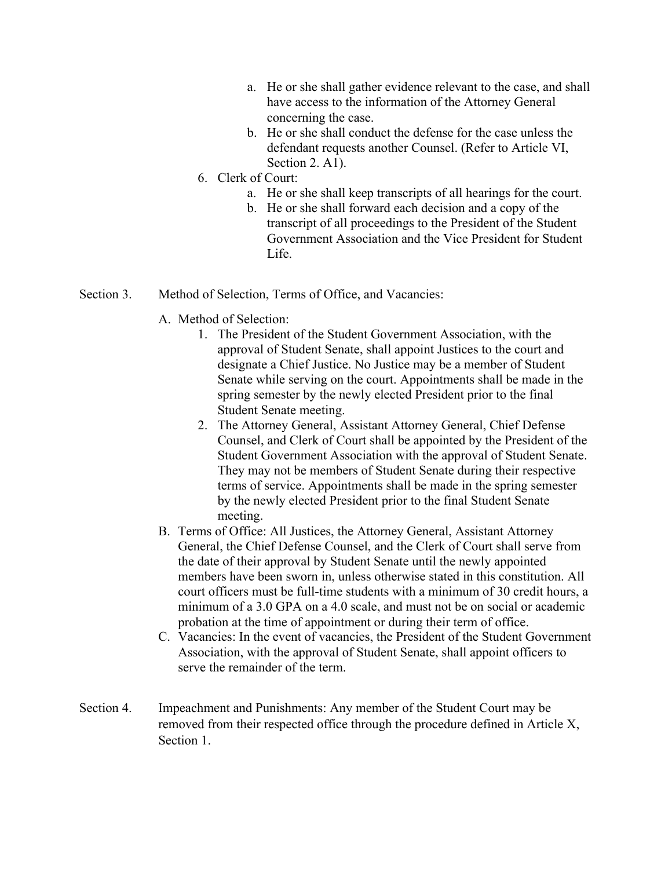- a. He or she shall gather evidence relevant to the case, and shall have access to the information of the Attorney General concerning the case.
- b. He or she shall conduct the defense for the case unless the defendant requests another Counsel. (Refer to Article VI, Section 2. A1).
- 6. Clerk of Court:
	- a. He or she shall keep transcripts of all hearings for the court.
	- b. He or she shall forward each decision and a copy of the transcript of all proceedings to the President of the Student Government Association and the Vice President for Student Life.
- Section 3. Method of Selection, Terms of Office, and Vacancies:
	- A. Method of Selection:
		- 1. The President of the Student Government Association, with the approval of Student Senate, shall appoint Justices to the court and designate a Chief Justice. No Justice may be a member of Student Senate while serving on the court. Appointments shall be made in the spring semester by the newly elected President prior to the final Student Senate meeting.
		- 2. The Attorney General, Assistant Attorney General, Chief Defense Counsel, and Clerk of Court shall be appointed by the President of the Student Government Association with the approval of Student Senate. They may not be members of Student Senate during their respective terms of service. Appointments shall be made in the spring semester by the newly elected President prior to the final Student Senate meeting.
	- B. Terms of Office: All Justices, the Attorney General, Assistant Attorney General, the Chief Defense Counsel, and the Clerk of Court shall serve from the date of their approval by Student Senate until the newly appointed members have been sworn in, unless otherwise stated in this constitution. All court officers must be full-time students with a minimum of 30 credit hours, a minimum of a 3.0 GPA on a 4.0 scale, and must not be on social or academic probation at the time of appointment or during their term of office.
	- C. Vacancies: In the event of vacancies, the President of the Student Government Association, with the approval of Student Senate, shall appoint officers to serve the remainder of the term.
- Section 4. Impeachment and Punishments: Any member of the Student Court may be removed from their respected office through the procedure defined in Article X, Section 1.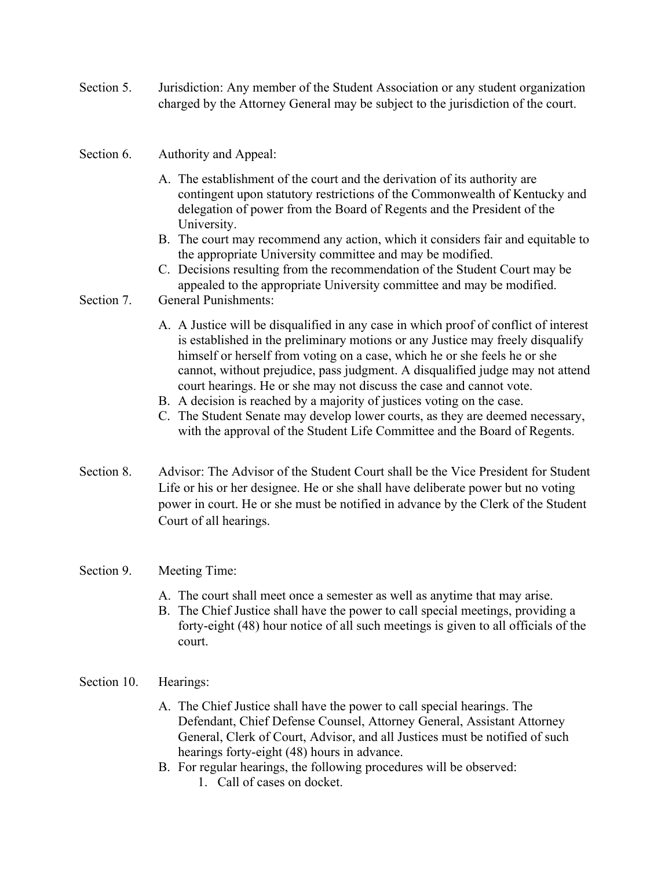Section 5. Jurisdiction: Any member of the Student Association or any student organization charged by the Attorney General may be subject to the jurisdiction of the court.

## Section 6. Authority and Appeal:

- A. The establishment of the court and the derivation of its authority are contingent upon statutory restrictions of the Commonwealth of Kentucky and delegation of power from the Board of Regents and the President of the University.
- B. The court may recommend any action, which it considers fair and equitable to the appropriate University committee and may be modified.
- C. Decisions resulting from the recommendation of the Student Court may be appealed to the appropriate University committee and may be modified.

#### Section 7. General Punishments:

- A. A Justice will be disqualified in any case in which proof of conflict of interest is established in the preliminary motions or any Justice may freely disqualify himself or herself from voting on a case, which he or she feels he or she cannot, without prejudice, pass judgment. A disqualified judge may not attend court hearings. He or she may not discuss the case and cannot vote.
- B. A decision is reached by a majority of justices voting on the case.
- C. The Student Senate may develop lower courts, as they are deemed necessary, with the approval of the Student Life Committee and the Board of Regents.
- Section 8. Advisor: The Advisor of the Student Court shall be the Vice President for Student Life or his or her designee. He or she shall have deliberate power but no voting power in court. He or she must be notified in advance by the Clerk of the Student Court of all hearings.

### Section 9. Meeting Time:

- A. The court shall meet once a semester as well as anytime that may arise.
- B. The Chief Justice shall have the power to call special meetings, providing a forty-eight (48) hour notice of all such meetings is given to all officials of the court.

### Section 10. Hearings:

- A. The Chief Justice shall have the power to call special hearings. The Defendant, Chief Defense Counsel, Attorney General, Assistant Attorney General, Clerk of Court, Advisor, and all Justices must be notified of such hearings forty-eight (48) hours in advance.
- B. For regular hearings, the following procedures will be observed: 1. Call of cases on docket.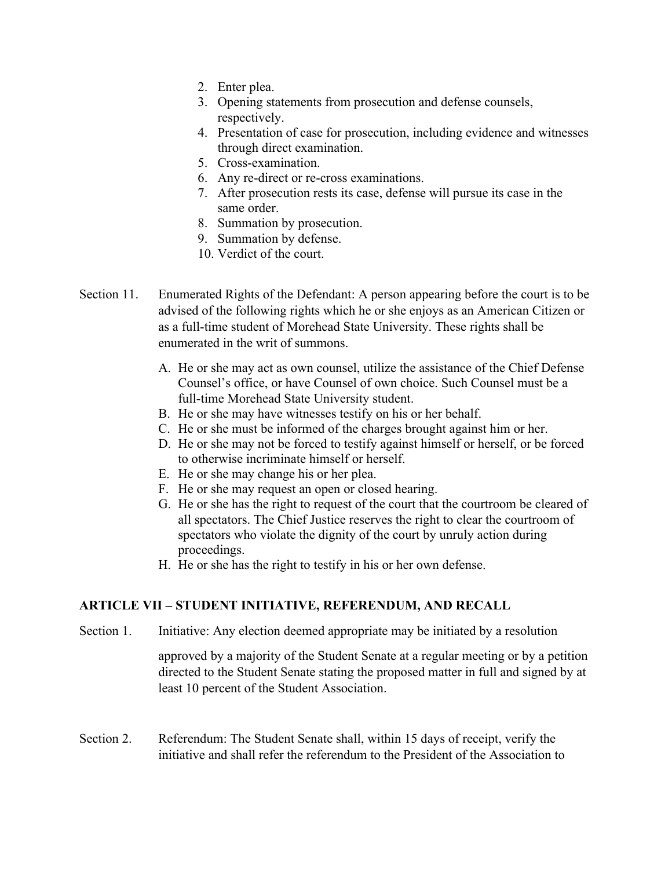- 2. Enter plea.
- 3. Opening statements from prosecution and defense counsels, respectively.
- 4. Presentation of case for prosecution, including evidence and witnesses through direct examination.
- 5. Cross-examination.
- 6. Any re-direct or re-cross examinations.
- 7. After prosecution rests its case, defense will pursue its case in the same order.
- 8. Summation by prosecution.
- 9. Summation by defense.
- 10. Verdict of the court.
- Section 11. Enumerated Rights of the Defendant: A person appearing before the court is to be advised of the following rights which he or she enjoys as an American Citizen or as a full-time student of Morehead State University. These rights shall be enumerated in the writ of summons.
	- A. He or she may act as own counsel, utilize the assistance of the Chief Defense Counsel's office, or have Counsel of own choice. Such Counsel must be a full-time Morehead State University student.
	- B. He or she may have witnesses testify on his or her behalf.
	- C. He or she must be informed of the charges brought against him or her.
	- D. He or she may not be forced to testify against himself or herself, or be forced to otherwise incriminate himself or herself.
	- E. He or she may change his or her plea.
	- F. He or she may request an open or closed hearing.
	- G. He or she has the right to request of the court that the courtroom be cleared of all spectators. The Chief Justice reserves the right to clear the courtroom of spectators who violate the dignity of the court by unruly action during proceedings.
	- H. He or she has the right to testify in his or her own defense.

# **ARTICLE VII – STUDENT INITIATIVE, REFERENDUM, AND RECALL**

Section 1. Initiative: Any election deemed appropriate may be initiated by a resolution

approved by a majority of the Student Senate at a regular meeting or by a petition directed to the Student Senate stating the proposed matter in full and signed by at least 10 percent of the Student Association.

Section 2. Referendum: The Student Senate shall, within 15 days of receipt, verify the initiative and shall refer the referendum to the President of the Association to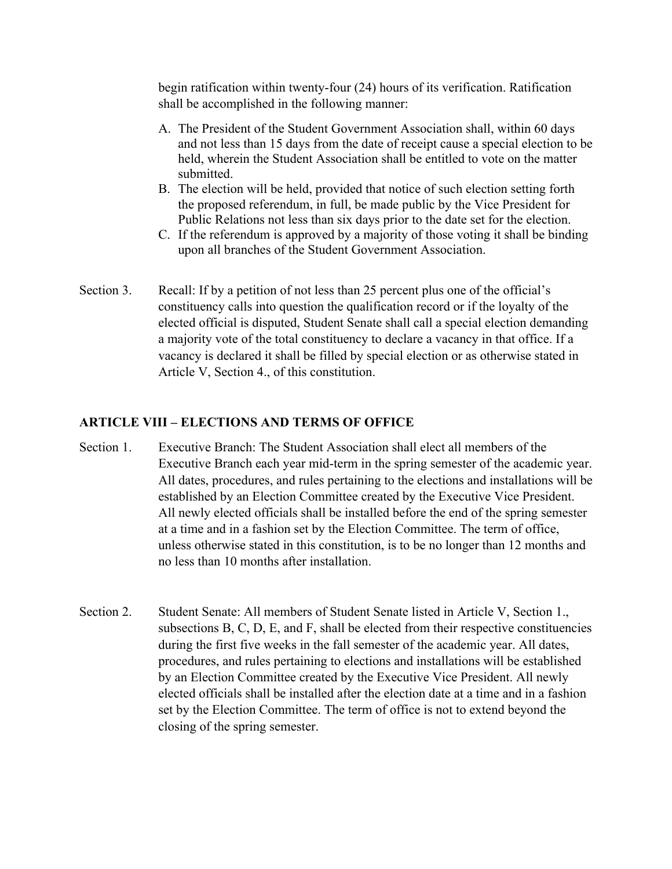begin ratification within twenty-four (24) hours of its verification. Ratification shall be accomplished in the following manner:

- A. The President of the Student Government Association shall, within 60 days and not less than 15 days from the date of receipt cause a special election to be held, wherein the Student Association shall be entitled to vote on the matter submitted.
- B. The election will be held, provided that notice of such election setting forth the proposed referendum, in full, be made public by the Vice President for Public Relations not less than six days prior to the date set for the election.
- C. If the referendum is approved by a majority of those voting it shall be binding upon all branches of the Student Government Association.
- Section 3. Recall: If by a petition of not less than 25 percent plus one of the official's constituency calls into question the qualification record or if the loyalty of the elected official is disputed, Student Senate shall call a special election demanding a majority vote of the total constituency to declare a vacancy in that office. If a vacancy is declared it shall be filled by special election or as otherwise stated in Article V, Section 4., of this constitution.

#### **ARTICLE VIII – ELECTIONS AND TERMS OF OFFICE**

- Section 1. Executive Branch: The Student Association shall elect all members of the Executive Branch each year mid-term in the spring semester of the academic year. All dates, procedures, and rules pertaining to the elections and installations will be established by an Election Committee created by the Executive Vice President. All newly elected officials shall be installed before the end of the spring semester at a time and in a fashion set by the Election Committee. The term of office, unless otherwise stated in this constitution, is to be no longer than 12 months and no less than 10 months after installation.
- Section 2. Student Senate: All members of Student Senate listed in Article V, Section 1., subsections B, C, D, E, and F, shall be elected from their respective constituencies during the first five weeks in the fall semester of the academic year. All dates, procedures, and rules pertaining to elections and installations will be established by an Election Committee created by the Executive Vice President. All newly elected officials shall be installed after the election date at a time and in a fashion set by the Election Committee. The term of office is not to extend beyond the closing of the spring semester.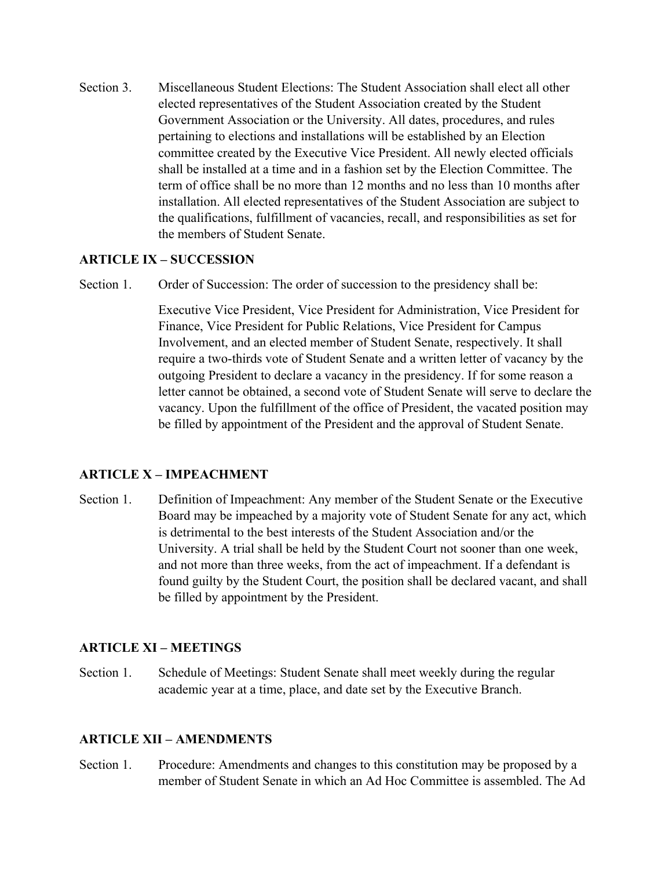Section 3. Miscellaneous Student Elections: The Student Association shall elect all other elected representatives of the Student Association created by the Student Government Association or the University. All dates, procedures, and rules pertaining to elections and installations will be established by an Election committee created by the Executive Vice President. All newly elected officials shall be installed at a time and in a fashion set by the Election Committee. The term of office shall be no more than 12 months and no less than 10 months after installation. All elected representatives of the Student Association are subject to the qualifications, fulfillment of vacancies, recall, and responsibilities as set for the members of Student Senate.

## **ARTICLE IX – SUCCESSION**

Section 1. Order of Succession: The order of succession to the presidency shall be:

Executive Vice President, Vice President for Administration, Vice President for Finance, Vice President for Public Relations, Vice President for Campus Involvement, and an elected member of Student Senate, respectively. It shall require a two-thirds vote of Student Senate and a written letter of vacancy by the outgoing President to declare a vacancy in the presidency. If for some reason a letter cannot be obtained, a second vote of Student Senate will serve to declare the vacancy. Upon the fulfillment of the office of President, the vacated position may be filled by appointment of the President and the approval of Student Senate.

### **ARTICLE X – IMPEACHMENT**

Section 1. Definition of Impeachment: Any member of the Student Senate or the Executive Board may be impeached by a majority vote of Student Senate for any act, which is detrimental to the best interests of the Student Association and/or the University. A trial shall be held by the Student Court not sooner than one week, and not more than three weeks, from the act of impeachment. If a defendant is found guilty by the Student Court, the position shall be declared vacant, and shall be filled by appointment by the President.

### **ARTICLE XI – MEETINGS**

Section 1. Schedule of Meetings: Student Senate shall meet weekly during the regular academic year at a time, place, and date set by the Executive Branch.

### **ARTICLE XII – AMENDMENTS**

Section 1. Procedure: Amendments and changes to this constitution may be proposed by a member of Student Senate in which an Ad Hoc Committee is assembled. The Ad